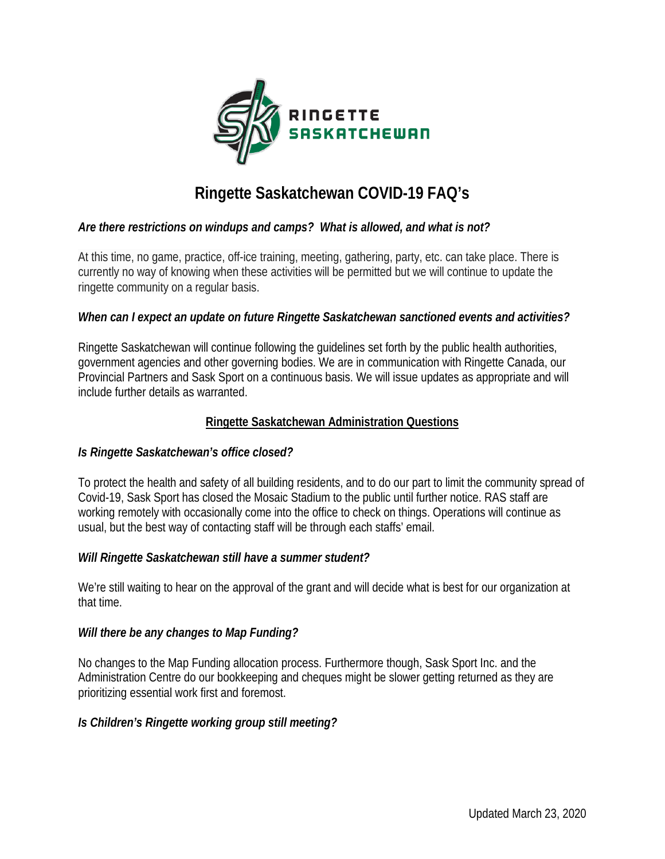

# **Ringette Saskatchewan COVID-19 FAQ's**

## *Are there restrictions on windups and camps? What is allowed, and what is not?*

At this time, no game, practice, off-ice training, meeting, gathering, party, etc. can take place. There is currently no way of knowing when these activities will be permitted but we will continue to update the ringette community on a regular basis.

#### *When can I expect an update on future Ringette Saskatchewan sanctioned events and activities?*

Ringette Saskatchewan will continue following the guidelines set forth by the public health authorities, government agencies and other governing bodies. We are in communication with Ringette Canada, our Provincial Partners and Sask Sport on a continuous basis. We will issue updates as appropriate and will include further details as warranted.

#### **Ringette Saskatchewan Administration Questions**

#### *Is Ringette Saskatchewan's office closed?*

To protect the health and safety of all building residents, and to do our part to limit the community spread of Covid-19, Sask Sport has closed the Mosaic Stadium to the public until further notice. RAS staff are working remotely with occasionally come into the office to check on things. Operations will continue as usual, but the best way of contacting staff will be through each staffs' email.

#### *Will Ringette Saskatchewan still have a summer student?*

We're still waiting to hear on the approval of the grant and will decide what is best for our organization at that time.

#### *Will there be any changes to Map Funding?*

No changes to the Map Funding allocation process. Furthermore though, Sask Sport Inc. and the Administration Centre do our bookkeeping and cheques might be slower getting returned as they are prioritizing essential work first and foremost.

#### *Is Children's Ringette working group still meeting?*